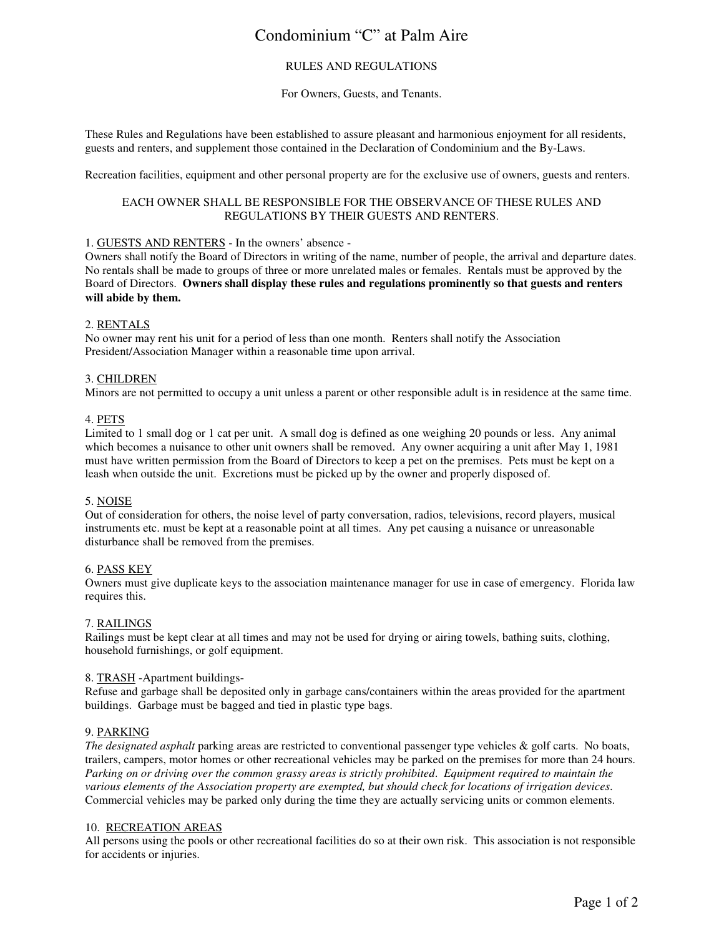## Condominium "C" at Palm Aire

## RULES AND REGULATIONS

## For Owners, Guests, and Tenants.

These Rules and Regulations have been established to assure pleasant and harmonious enjoyment for all residents, guests and renters, and supplement those contained in the Declaration of Condominium and the By-Laws.

Recreation facilities, equipment and other personal property are for the exclusive use of owners, guests and renters.

## EACH OWNER SHALL BE RESPONSIBLE FOR THE OBSERVANCE OF THESE RULES AND REGULATIONS BY THEIR GUESTS AND RENTERS.

## 1. GUESTS AND RENTERS - In the owners' absence -

Owners shall notify the Board of Directors in writing of the name, number of people, the arrival and departure dates. No rentals shall be made to groups of three or more unrelated males or females. Rentals must be approved by the Board of Directors. **Owners shall display these rules and regulations prominently so that guests and renters will abide by them.** 

## 2. RENTALS

No owner may rent his unit for a period of less than one month. Renters shall notify the Association President/Association Manager within a reasonable time upon arrival.

### 3. CHILDREN

Minors are not permitted to occupy a unit unless a parent or other responsible adult is in residence at the same time.

### 4. PETS

Limited to 1 small dog or 1 cat per unit. A small dog is defined as one weighing 20 pounds or less. Any animal which becomes a nuisance to other unit owners shall be removed. Any owner acquiring a unit after May 1, 1981 must have written permission from the Board of Directors to keep a pet on the premises. Pets must be kept on a leash when outside the unit. Excretions must be picked up by the owner and properly disposed of.

#### 5. NOISE

Out of consideration for others, the noise level of party conversation, radios, televisions, record players, musical instruments etc. must be kept at a reasonable point at all times. Any pet causing a nuisance or unreasonable disturbance shall be removed from the premises.

#### 6. PASS KEY

Owners must give duplicate keys to the association maintenance manager for use in case of emergency. Florida law requires this.

## 7. RAILINGS

Railings must be kept clear at all times and may not be used for drying or airing towels, bathing suits, clothing, household furnishings, or golf equipment.

#### 8. TRASH -Apartment buildings-

Refuse and garbage shall be deposited only in garbage cans/containers within the areas provided for the apartment buildings. Garbage must be bagged and tied in plastic type bags.

## 9. PARKING

*The designated asphalt* parking areas are restricted to conventional passenger type vehicles & golf carts. No boats, trailers, campers, motor homes or other recreational vehicles may be parked on the premises for more than 24 hours. *Parking on or driving over the common grassy areas is strictly prohibited*. *Equipment required to maintain the various elements of the Association property are exempted, but should check for locations of irrigation devices*. Commercial vehicles may be parked only during the time they are actually servicing units or common elements.

#### 10. RECREATION AREAS

All persons using the pools or other recreational facilities do so at their own risk. This association is not responsible for accidents or injuries.